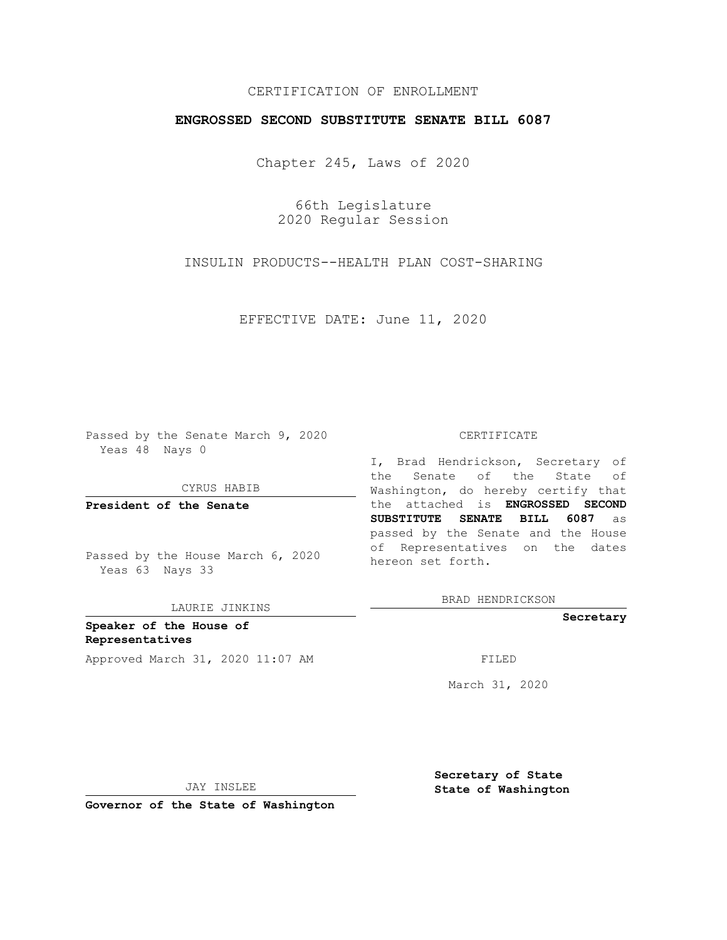## CERTIFICATION OF ENROLLMENT

### **ENGROSSED SECOND SUBSTITUTE SENATE BILL 6087**

Chapter 245, Laws of 2020

66th Legislature 2020 Regular Session

INSULIN PRODUCTS--HEALTH PLAN COST-SHARING

EFFECTIVE DATE: June 11, 2020

Passed by the Senate March 9, 2020 Yeas 48 Nays 0

CYRUS HABIB

**President of the Senate**

Passed by the House March 6, 2020 Yeas 63 Nays 33

LAURIE JINKINS

**Speaker of the House of Representatives** Approved March 31, 2020 11:07 AM FILED

#### CERTIFICATE

I, Brad Hendrickson, Secretary of the Senate of the State of Washington, do hereby certify that the attached is **ENGROSSED SECOND SUBSTITUTE SENATE BILL 6087** as passed by the Senate and the House of Representatives on the dates hereon set forth.

BRAD HENDRICKSON

**Secretary**

March 31, 2020

JAY INSLEE

**Secretary of State State of Washington**

**Governor of the State of Washington**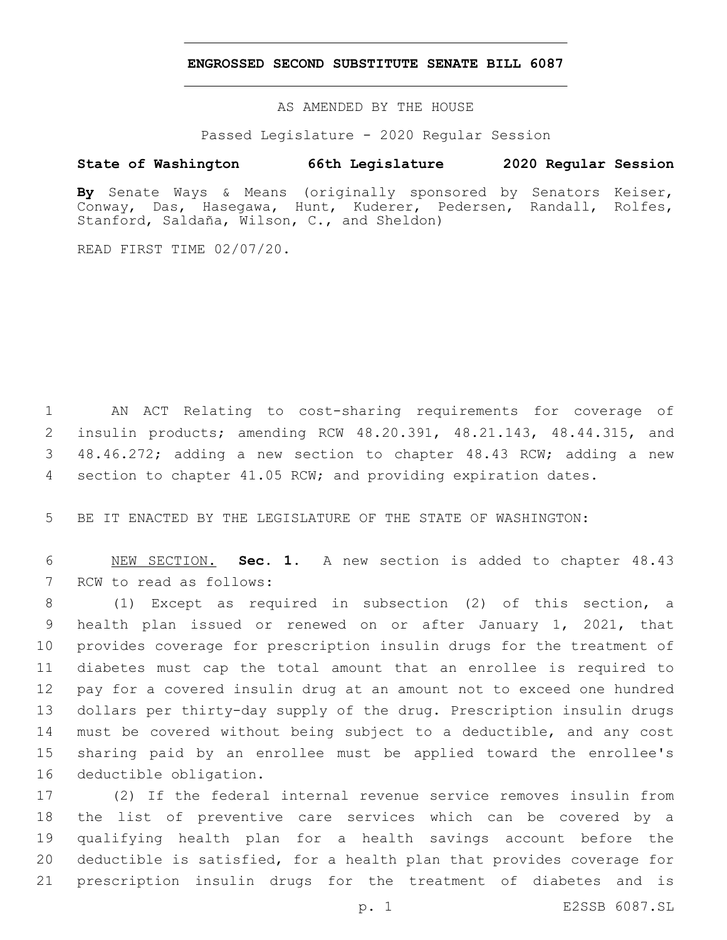### **ENGROSSED SECOND SUBSTITUTE SENATE BILL 6087**

AS AMENDED BY THE HOUSE

Passed Legislature - 2020 Regular Session

# **State of Washington 66th Legislature 2020 Regular Session**

**By** Senate Ways & Means (originally sponsored by Senators Keiser, Conway, Das, Hasegawa, Hunt, Kuderer, Pedersen, Randall, Rolfes, Stanford, Saldaña, Wilson, C., and Sheldon)

READ FIRST TIME 02/07/20.

 AN ACT Relating to cost-sharing requirements for coverage of insulin products; amending RCW 48.20.391, 48.21.143, 48.44.315, and 48.46.272; adding a new section to chapter 48.43 RCW; adding a new section to chapter 41.05 RCW; and providing expiration dates.

BE IT ENACTED BY THE LEGISLATURE OF THE STATE OF WASHINGTON:

 NEW SECTION. **Sec. 1.** A new section is added to chapter 48.43 7 RCW to read as follows:

 (1) Except as required in subsection (2) of this section, a health plan issued or renewed on or after January 1, 2021, that provides coverage for prescription insulin drugs for the treatment of diabetes must cap the total amount that an enrollee is required to pay for a covered insulin drug at an amount not to exceed one hundred dollars per thirty-day supply of the drug. Prescription insulin drugs must be covered without being subject to a deductible, and any cost sharing paid by an enrollee must be applied toward the enrollee's 16 deductible obligation.

 (2) If the federal internal revenue service removes insulin from the list of preventive care services which can be covered by a qualifying health plan for a health savings account before the deductible is satisfied, for a health plan that provides coverage for prescription insulin drugs for the treatment of diabetes and is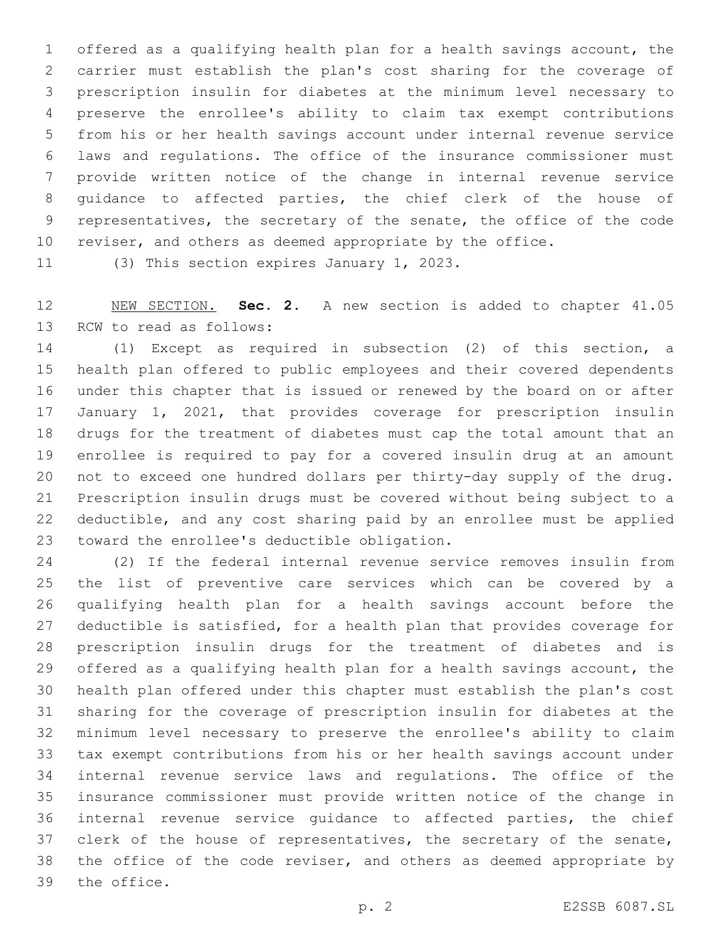offered as a qualifying health plan for a health savings account, the carrier must establish the plan's cost sharing for the coverage of prescription insulin for diabetes at the minimum level necessary to preserve the enrollee's ability to claim tax exempt contributions from his or her health savings account under internal revenue service laws and regulations. The office of the insurance commissioner must provide written notice of the change in internal revenue service guidance to affected parties, the chief clerk of the house of representatives, the secretary of the senate, the office of the code reviser, and others as deemed appropriate by the office.

11 (3) This section expires January 1, 2023.

 NEW SECTION. **Sec. 2.** A new section is added to chapter 41.05 13 RCW to read as follows:

 (1) Except as required in subsection (2) of this section, a health plan offered to public employees and their covered dependents under this chapter that is issued or renewed by the board on or after January 1, 2021, that provides coverage for prescription insulin drugs for the treatment of diabetes must cap the total amount that an enrollee is required to pay for a covered insulin drug at an amount not to exceed one hundred dollars per thirty-day supply of the drug. Prescription insulin drugs must be covered without being subject to a deductible, and any cost sharing paid by an enrollee must be applied 23 toward the enrollee's deductible obligation.

 (2) If the federal internal revenue service removes insulin from the list of preventive care services which can be covered by a qualifying health plan for a health savings account before the deductible is satisfied, for a health plan that provides coverage for prescription insulin drugs for the treatment of diabetes and is offered as a qualifying health plan for a health savings account, the health plan offered under this chapter must establish the plan's cost sharing for the coverage of prescription insulin for diabetes at the minimum level necessary to preserve the enrollee's ability to claim tax exempt contributions from his or her health savings account under internal revenue service laws and regulations. The office of the insurance commissioner must provide written notice of the change in internal revenue service guidance to affected parties, the chief 37 clerk of the house of representatives, the secretary of the senate, the office of the code reviser, and others as deemed appropriate by 39 the office.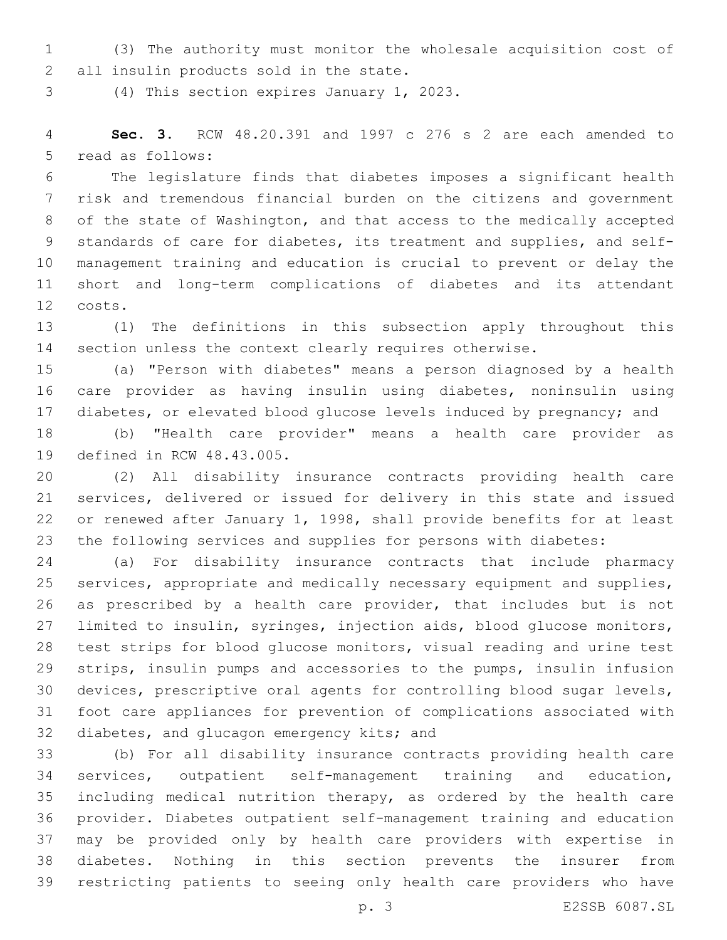(3) The authority must monitor the wholesale acquisition cost of 2 all insulin products sold in the state.

3 (4) This section expires January 1, 2023.

 **Sec. 3.** RCW 48.20.391 and 1997 c 276 s 2 are each amended to 5 read as follows:

 The legislature finds that diabetes imposes a significant health risk and tremendous financial burden on the citizens and government of the state of Washington, and that access to the medically accepted standards of care for diabetes, its treatment and supplies, and self- management training and education is crucial to prevent or delay the short and long-term complications of diabetes and its attendant costs.12

 (1) The definitions in this subsection apply throughout this section unless the context clearly requires otherwise.

 (a) "Person with diabetes" means a person diagnosed by a health care provider as having insulin using diabetes, noninsulin using diabetes, or elevated blood glucose levels induced by pregnancy; and

 (b) "Health care provider" means a health care provider as 19 defined in RCW 48.43.005.

 (2) All disability insurance contracts providing health care services, delivered or issued for delivery in this state and issued or renewed after January 1, 1998, shall provide benefits for at least the following services and supplies for persons with diabetes:

 (a) For disability insurance contracts that include pharmacy services, appropriate and medically necessary equipment and supplies, as prescribed by a health care provider, that includes but is not limited to insulin, syringes, injection aids, blood glucose monitors, test strips for blood glucose monitors, visual reading and urine test strips, insulin pumps and accessories to the pumps, insulin infusion devices, prescriptive oral agents for controlling blood sugar levels, foot care appliances for prevention of complications associated with 32 diabetes, and glucagon emergency kits; and

 (b) For all disability insurance contracts providing health care services, outpatient self-management training and education, including medical nutrition therapy, as ordered by the health care provider. Diabetes outpatient self-management training and education may be provided only by health care providers with expertise in diabetes. Nothing in this section prevents the insurer from restricting patients to seeing only health care providers who have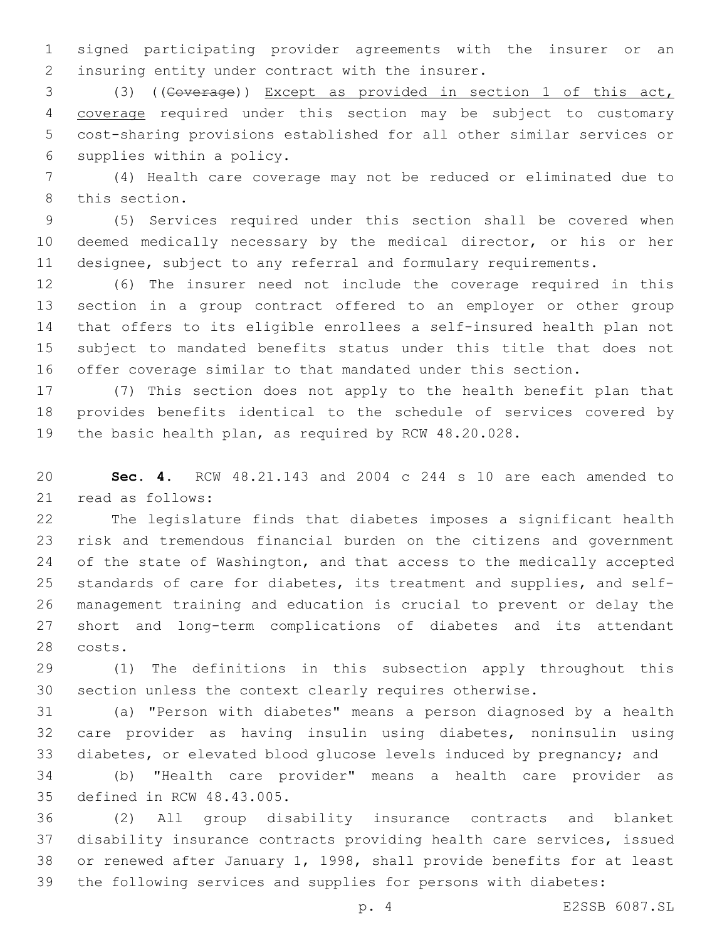signed participating provider agreements with the insurer or an 2 insuring entity under contract with the insurer.

 (3) ((Coverage)) Except as provided in section 1 of this act, coverage required under this section may be subject to customary cost-sharing provisions established for all other similar services or 6 supplies within a policy.

 (4) Health care coverage may not be reduced or eliminated due to 8 this section.

 (5) Services required under this section shall be covered when deemed medically necessary by the medical director, or his or her designee, subject to any referral and formulary requirements.

 (6) The insurer need not include the coverage required in this section in a group contract offered to an employer or other group that offers to its eligible enrollees a self-insured health plan not subject to mandated benefits status under this title that does not offer coverage similar to that mandated under this section.

 (7) This section does not apply to the health benefit plan that provides benefits identical to the schedule of services covered by the basic health plan, as required by RCW 48.20.028.

 **Sec. 4.** RCW 48.21.143 and 2004 c 244 s 10 are each amended to 21 read as follows:

 The legislature finds that diabetes imposes a significant health risk and tremendous financial burden on the citizens and government 24 of the state of Washington, and that access to the medically accepted standards of care for diabetes, its treatment and supplies, and self- management training and education is crucial to prevent or delay the short and long-term complications of diabetes and its attendant 28 costs.

 (1) The definitions in this subsection apply throughout this section unless the context clearly requires otherwise.

 (a) "Person with diabetes" means a person diagnosed by a health care provider as having insulin using diabetes, noninsulin using diabetes, or elevated blood glucose levels induced by pregnancy; and

 (b) "Health care provider" means a health care provider as 35 defined in RCW 48.43.005.

 (2) All group disability insurance contracts and blanket disability insurance contracts providing health care services, issued or renewed after January 1, 1998, shall provide benefits for at least the following services and supplies for persons with diabetes:

p. 4 E2SSB 6087.SL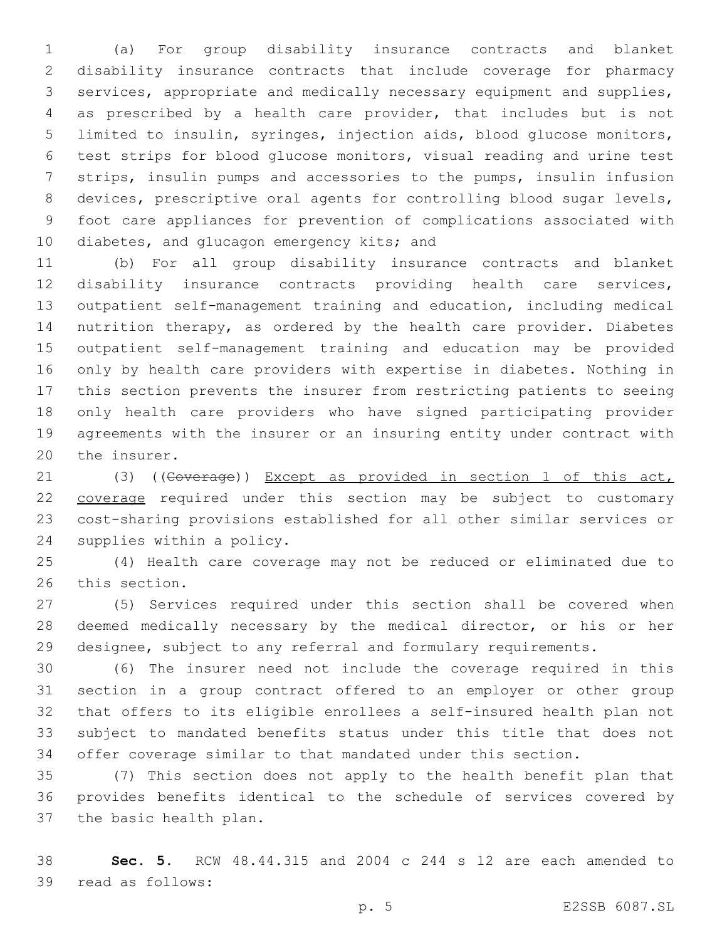(a) For group disability insurance contracts and blanket disability insurance contracts that include coverage for pharmacy services, appropriate and medically necessary equipment and supplies, as prescribed by a health care provider, that includes but is not limited to insulin, syringes, injection aids, blood glucose monitors, test strips for blood glucose monitors, visual reading and urine test strips, insulin pumps and accessories to the pumps, insulin infusion devices, prescriptive oral agents for controlling blood sugar levels, foot care appliances for prevention of complications associated with 10 diabetes, and glucagon emergency kits; and

 (b) For all group disability insurance contracts and blanket disability insurance contracts providing health care services, outpatient self-management training and education, including medical nutrition therapy, as ordered by the health care provider. Diabetes outpatient self-management training and education may be provided only by health care providers with expertise in diabetes. Nothing in this section prevents the insurer from restricting patients to seeing only health care providers who have signed participating provider agreements with the insurer or an insuring entity under contract with 20 the insurer.

21 (3) ((Goverage)) Except as provided in section 1 of this act, 22 coverage required under this section may be subject to customary cost-sharing provisions established for all other similar services or 24 supplies within a policy.

 (4) Health care coverage may not be reduced or eliminated due to 26 this section.

 (5) Services required under this section shall be covered when deemed medically necessary by the medical director, or his or her designee, subject to any referral and formulary requirements.

 (6) The insurer need not include the coverage required in this section in a group contract offered to an employer or other group that offers to its eligible enrollees a self-insured health plan not subject to mandated benefits status under this title that does not offer coverage similar to that mandated under this section.

 (7) This section does not apply to the health benefit plan that provides benefits identical to the schedule of services covered by 37 the basic health plan.

 **Sec. 5.** RCW 48.44.315 and 2004 c 244 s 12 are each amended to 39 read as follows: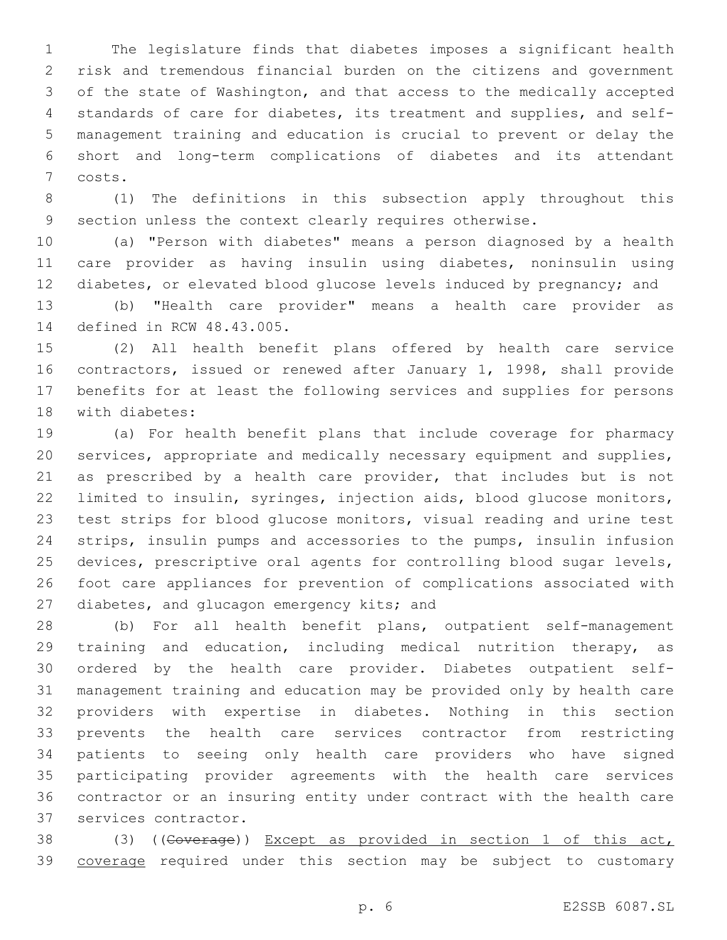The legislature finds that diabetes imposes a significant health risk and tremendous financial burden on the citizens and government of the state of Washington, and that access to the medically accepted standards of care for diabetes, its treatment and supplies, and self- management training and education is crucial to prevent or delay the short and long-term complications of diabetes and its attendant 7 costs.

 (1) The definitions in this subsection apply throughout this section unless the context clearly requires otherwise.

 (a) "Person with diabetes" means a person diagnosed by a health care provider as having insulin using diabetes, noninsulin using diabetes, or elevated blood glucose levels induced by pregnancy; and

 (b) "Health care provider" means a health care provider as 14 defined in RCW 48.43.005.

 (2) All health benefit plans offered by health care service contractors, issued or renewed after January 1, 1998, shall provide benefits for at least the following services and supplies for persons 18 with diabetes:

 (a) For health benefit plans that include coverage for pharmacy services, appropriate and medically necessary equipment and supplies, as prescribed by a health care provider, that includes but is not limited to insulin, syringes, injection aids, blood glucose monitors, test strips for blood glucose monitors, visual reading and urine test strips, insulin pumps and accessories to the pumps, insulin infusion devices, prescriptive oral agents for controlling blood sugar levels, foot care appliances for prevention of complications associated with 27 diabetes, and glucagon emergency kits; and

 (b) For all health benefit plans, outpatient self-management training and education, including medical nutrition therapy, as ordered by the health care provider. Diabetes outpatient self- management training and education may be provided only by health care providers with expertise in diabetes. Nothing in this section prevents the health care services contractor from restricting patients to seeing only health care providers who have signed participating provider agreements with the health care services contractor or an insuring entity under contract with the health care 37 services contractor.

38 (3) ((Coverage)) Except as provided in section 1 of this act, 39 coverage required under this section may be subject to customary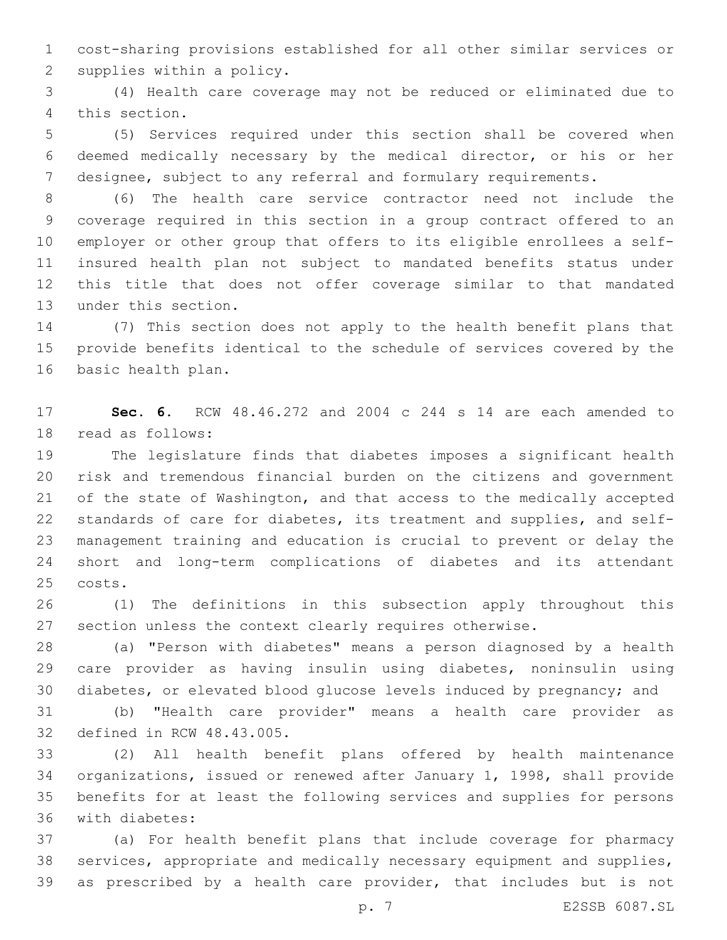cost-sharing provisions established for all other similar services or 2 supplies within a policy.

 (4) Health care coverage may not be reduced or eliminated due to 4 this section.

 (5) Services required under this section shall be covered when deemed medically necessary by the medical director, or his or her designee, subject to any referral and formulary requirements.

 (6) The health care service contractor need not include the coverage required in this section in a group contract offered to an employer or other group that offers to its eligible enrollees a self- insured health plan not subject to mandated benefits status under this title that does not offer coverage similar to that mandated 13 under this section.

 (7) This section does not apply to the health benefit plans that provide benefits identical to the schedule of services covered by the 16 basic health plan.

 **Sec. 6.** RCW 48.46.272 and 2004 c 244 s 14 are each amended to 18 read as follows:

 The legislature finds that diabetes imposes a significant health risk and tremendous financial burden on the citizens and government of the state of Washington, and that access to the medically accepted standards of care for diabetes, its treatment and supplies, and self- management training and education is crucial to prevent or delay the short and long-term complications of diabetes and its attendant 25 costs.

 (1) The definitions in this subsection apply throughout this section unless the context clearly requires otherwise.

 (a) "Person with diabetes" means a person diagnosed by a health care provider as having insulin using diabetes, noninsulin using diabetes, or elevated blood glucose levels induced by pregnancy; and

 (b) "Health care provider" means a health care provider as 32 defined in RCW 48.43.005.

 (2) All health benefit plans offered by health maintenance organizations, issued or renewed after January 1, 1998, shall provide benefits for at least the following services and supplies for persons 36 with diabetes:

 (a) For health benefit plans that include coverage for pharmacy services, appropriate and medically necessary equipment and supplies, as prescribed by a health care provider, that includes but is not